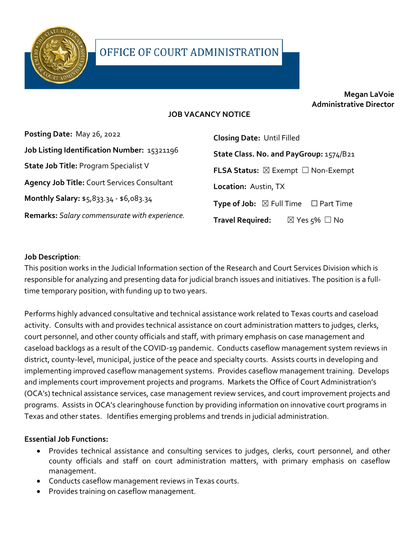

# **Megan LaVoie Administrative Director**

### **JOB VACANCY NOTICE**

| Posting Date: May 26, 2022                         | <b>Closing Date: Until Filled</b>                          |
|----------------------------------------------------|------------------------------------------------------------|
| Job Listing Identification Number: 15321196        | State Class. No. and PayGroup: 1574/B21                    |
| <b>State Job Title: Program Specialist V</b>       | <b>FLSA Status:</b> $\boxtimes$ Exempt $\Box$ Non-Exempt   |
| <b>Agency Job Title: Court Services Consultant</b> | Location: Austin, TX                                       |
| Monthly Salary: \$5,833.34 - \$6,083.34            | <b>Type of Job:</b> $\boxtimes$ Full Time $\Box$ Part Time |
| Remarks: Salary commensurate with experience.      | <b>Travel Required:</b><br>$\boxtimes$ Yes $5\%$ $\Box$ No |

### **Job Description**:

This position works in the Judicial Information section of the Research and Court Services Division which is responsible for analyzing and presenting data for judicial branch issues and initiatives. The position is a fulltime temporary position, with funding up to two years.

Performs highly advanced consultative and technical assistance work related to Texas courts and caseload activity. Consults with and provides technical assistance on court administration matters to judges, clerks, court personnel, and other county officials and staff, with primary emphasis on case management and caseload backlogs as a result of the COVID-19 pandemic. Conducts caseflow management system reviews in district, county-level, municipal, justice of the peace and specialty courts. Assists courts in developing and implementing improved caseflow management systems. Provides caseflow management training. Develops and implements court improvement projects and programs. Markets the Office of Court Administration's (OCA's) technical assistance services, case management review services, and court improvement projects and programs. Assists in OCA's clearinghouse function by providing information on innovative court programs in Texas and other states. Identifies emerging problems and trends in judicial administration.

### **Essential Job Functions:**

- Provides technical assistance and consulting services to judges, clerks, court personnel, and other county officials and staff on court administration matters, with primary emphasis on caseflow management.
- Conducts caseflow management reviews in Texas courts.
- Provides training on caseflow management.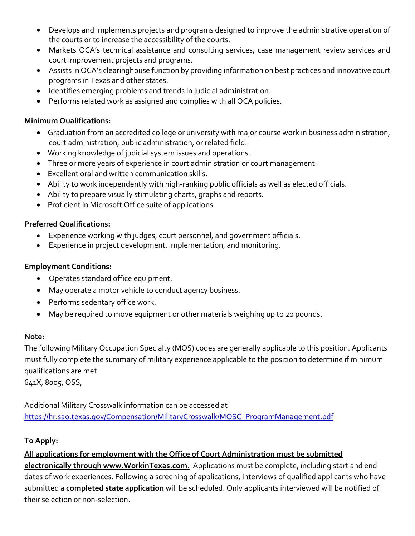- Develops and implements projects and programs designed to improve the administrative operation of the courts or to increase the accessibility of the courts.
- Markets OCA's technical assistance and consulting services, case management review services and court improvement projects and programs.
- Assists in OCA's clearinghouse function by providing information on best practices and innovative court programs in Texas and other states.
- Identifies emerging problems and trends in judicial administration.
- Performs related work as assigned and complies with all OCA policies.

### **Minimum Qualifications:**

- Graduation from an accredited college or university with major course work in business administration, court administration, public administration, or related field.
- Working knowledge of judicial system issues and operations.
- Three or more years of experience in court administration or court management.
- Excellent oral and written communication skills.
- Ability to work independently with high-ranking public officials as well as elected officials.
- Ability to prepare visually stimulating charts, graphs and reports.
- Proficient in Microsoft Office suite of applications.

### **Preferred Qualifications:**

- Experience working with judges, court personnel, and government officials.
- Experience in project development, implementation, and monitoring.

### **Employment Conditions:**

- Operates standard office equipment.
- May operate a motor vehicle to conduct agency business.
- Performs sedentary office work.
- May be required to move equipment or other materials weighing up to 20 pounds.

### **Note:**

The following Military Occupation Specialty (MOS) codes are generally applicable to this position. Applicants must fully complete the summary of military experience applicable to the position to determine if minimum qualifications are met.

641X, 8005, OSS,

Additional Military Crosswalk information can be accessed at [https://hr.sao.texas.gov/Compensation/MilitaryCrosswalk/MOSC\\_ProgramManagement.pdf](https://hr.sao.texas.gov/Compensation/MilitaryCrosswalk/MOSC_ProgramManagement.pdf) 

## **To Apply:**

**All applications for employment with the Office of Court Administration must be submitted electronically through www.WorkinTexas.com.** Applications must be complete, including start and end dates of work experiences. Following a screening of applications, interviews of qualified applicants who have submitted a **completed state application** will be scheduled. Only applicants interviewed will be notified of their selection or non-selection.